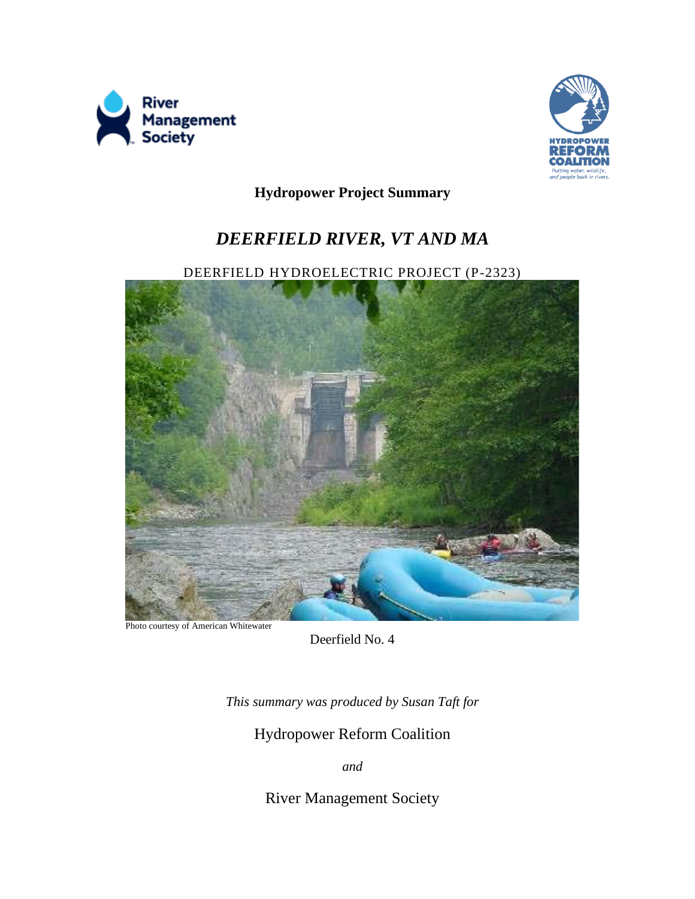



**Hydropower Project Summary**

# *DEERFIELD RIVER, VT AND MA*

DEERFIELD HYDROELECTRIC PROJECT (P-2323)



Photo courtesy of American Whitewater

Deerfield No. 4

*This summary was produced by Susan Taft for* 

Hydropower Reform Coalition

*and*

River Management Society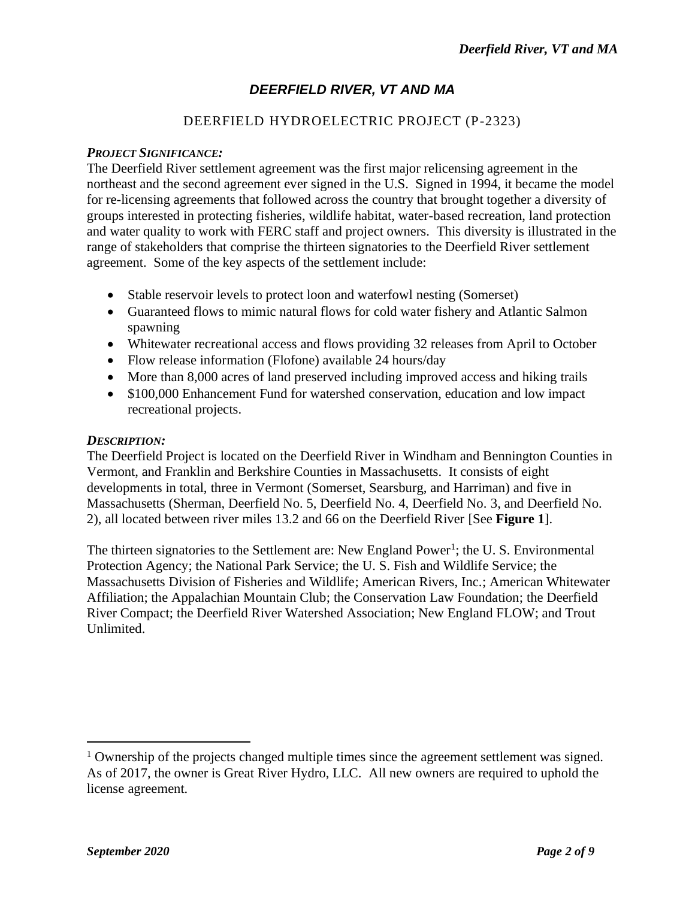# *DEERFIELD RIVER, VT AND MA*

## DEERFIELD HYDROELECTRIC PROJECT (P-2323)

#### *PROJECT SIGNIFICANCE:*

The Deerfield River settlement agreement was the first major relicensing agreement in the northeast and the second agreement ever signed in the U.S. Signed in 1994, it became the model for re-licensing agreements that followed across the country that brought together a diversity of groups interested in protecting fisheries, wildlife habitat, water-based recreation, land protection and water quality to work with FERC staff and project owners. This diversity is illustrated in the range of stakeholders that comprise the thirteen signatories to the Deerfield River settlement agreement. Some of the key aspects of the settlement include:

- Stable reservoir levels to protect loon and waterfowl nesting (Somerset)
- Guaranteed flows to mimic natural flows for cold water fishery and Atlantic Salmon spawning
- Whitewater recreational access and flows providing 32 releases from April to October
- Flow release information (Flofone) available 24 hours/day
- More than 8,000 acres of land preserved including improved access and hiking trails
- \$100,000 Enhancement Fund for watershed conservation, education and low impact recreational projects.

#### *DESCRIPTION:*

The Deerfield Project is located on the Deerfield River in Windham and Bennington Counties in Vermont, and Franklin and Berkshire Counties in Massachusetts. It consists of eight developments in total, three in Vermont (Somerset, Searsburg, and Harriman) and five in Massachusetts (Sherman, Deerfield No. 5, Deerfield No. 4, Deerfield No. 3, and Deerfield No. 2), all located between river miles 13.2 and 66 on the Deerfield River [See **Figure 1**].

The thirteen signatories to the Settlement are: New England Power<sup>1</sup>; the U.S. Environmental Protection Agency; the National Park Service; the U. S. Fish and Wildlife Service; the Massachusetts Division of Fisheries and Wildlife; American Rivers, Inc.; American Whitewater Affiliation; the Appalachian Mountain Club; the Conservation Law Foundation; the Deerfield River Compact; the Deerfield River Watershed Association; New England FLOW; and Trout Unlimited.

<sup>&</sup>lt;sup>1</sup> Ownership of the projects changed multiple times since the agreement settlement was signed. As of 2017, the owner is Great River Hydro, LLC. All new owners are required to uphold the license agreement.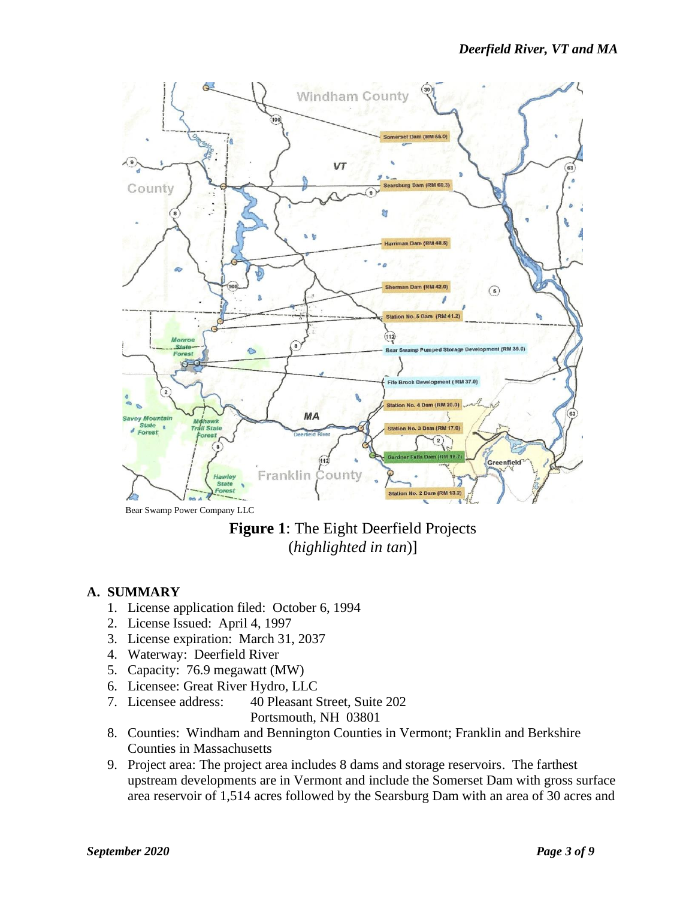



#### **A. SUMMARY**

- 1. License application filed: October 6, 1994
- 2. License Issued: April 4, 1997
- 3. License expiration: March 31, 2037
- 4. Waterway: Deerfield River
- 5. Capacity: 76.9 megawatt (MW)
- 6. Licensee: Great River Hydro, LLC
- 7. Licensee address: 40 Pleasant Street, Suite 202 Portsmouth, NH 03801
- 8. Counties: Windham and Bennington Counties in Vermont; Franklin and Berkshire Counties in Massachusetts
- 9. Project area: The project area includes 8 dams and storage reservoirs. The farthest upstream developments are in Vermont and include the Somerset Dam with gross surface area reservoir of 1,514 acres followed by the Searsburg Dam with an area of 30 acres and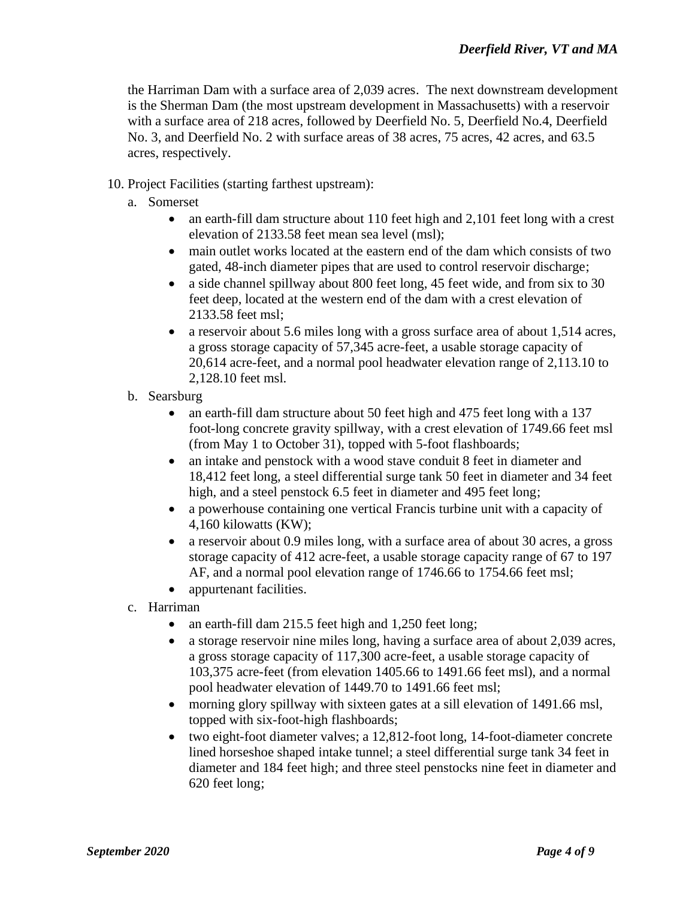the Harriman Dam with a surface area of 2,039 acres. The next downstream development is the Sherman Dam (the most upstream development in Massachusetts) with a reservoir with a surface area of 218 acres, followed by Deerfield No. 5, Deerfield No.4, Deerfield No. 3, and Deerfield No. 2 with surface areas of 38 acres, 75 acres, 42 acres, and 63.5 acres, respectively.

- 10. Project Facilities (starting farthest upstream):
	- a. Somerset
		- an earth-fill dam structure about 110 feet high and 2,101 feet long with a crest elevation of 2133.58 feet mean sea level (msl);
		- main outlet works located at the eastern end of the dam which consists of two gated, 48-inch diameter pipes that are used to control reservoir discharge;
		- a side channel spillway about 800 feet long, 45 feet wide, and from six to 30 feet deep, located at the western end of the dam with a crest elevation of 2133.58 feet msl;
		- a reservoir about 5.6 miles long with a gross surface area of about 1,514 acres, a gross storage capacity of 57,345 acre-feet, a usable storage capacity of 20,614 acre-feet, and a normal pool headwater elevation range of 2,113.10 to 2,128.10 feet msl.
	- b. Searsburg
		- an earth-fill dam structure about 50 feet high and 475 feet long with a 137 foot-long concrete gravity spillway, with a crest elevation of 1749.66 feet msl (from May 1 to October 31), topped with 5-foot flashboards;
		- an intake and penstock with a wood stave conduit 8 feet in diameter and 18,412 feet long, a steel differential surge tank 50 feet in diameter and 34 feet high, and a steel penstock 6.5 feet in diameter and 495 feet long;
		- a powerhouse containing one vertical Francis turbine unit with a capacity of 4,160 kilowatts (KW);
		- a reservoir about 0.9 miles long, with a surface area of about 30 acres, a gross storage capacity of 412 acre-feet, a usable storage capacity range of 67 to 197 AF, and a normal pool elevation range of 1746.66 to 1754.66 feet msl;
		- appurtenant facilities.
	- c. Harriman
		- an earth-fill dam 215.5 feet high and 1,250 feet long;
		- a storage reservoir nine miles long, having a surface area of about 2,039 acres, a gross storage capacity of 117,300 acre-feet, a usable storage capacity of 103,375 acre-feet (from elevation 1405.66 to 1491.66 feet msl), and a normal pool headwater elevation of 1449.70 to 1491.66 feet msl;
		- morning glory spillway with sixteen gates at a sill elevation of 1491.66 msl, topped with six-foot-high flashboards;
		- two eight-foot diameter valves; a 12,812-foot long, 14-foot-diameter concrete lined horseshoe shaped intake tunnel; a steel differential surge tank 34 feet in diameter and 184 feet high; and three steel penstocks nine feet in diameter and 620 feet long;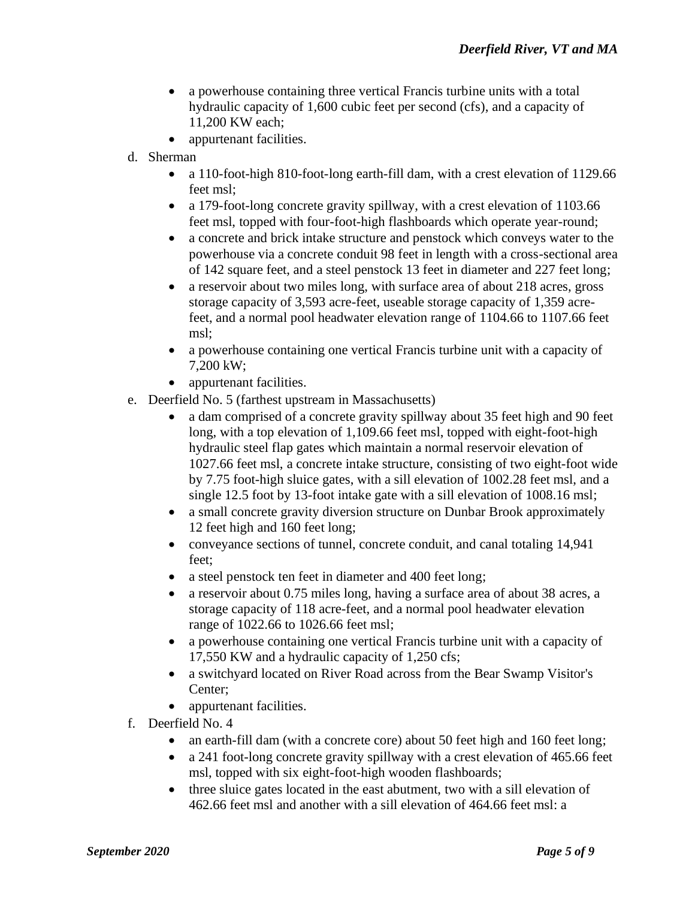- a powerhouse containing three vertical Francis turbine units with a total hydraulic capacity of 1,600 cubic feet per second (cfs), and a capacity of 11,200 KW each;
- appurtenant facilities.
- d. Sherman
	- a 110-foot-high 810-foot-long earth-fill dam, with a crest elevation of 1129.66 feet msl;
	- a 179-foot-long concrete gravity spillway, with a crest elevation of 1103.66 feet msl, topped with four-foot-high flashboards which operate year-round;
	- a concrete and brick intake structure and penstock which conveys water to the powerhouse via a concrete conduit 98 feet in length with a cross-sectional area of 142 square feet, and a steel penstock 13 feet in diameter and 227 feet long;
	- a reservoir about two miles long, with surface area of about 218 acres, gross storage capacity of 3,593 acre-feet, useable storage capacity of 1,359 acrefeet, and a normal pool headwater elevation range of 1104.66 to 1107.66 feet msl;
	- a powerhouse containing one vertical Francis turbine unit with a capacity of 7,200 kW;
	- appurtenant facilities.
- e. Deerfield No. 5 (farthest upstream in Massachusetts)
	- a dam comprised of a concrete gravity spillway about 35 feet high and 90 feet long, with a top elevation of 1,109.66 feet msl, topped with eight-foot-high hydraulic steel flap gates which maintain a normal reservoir elevation of 1027.66 feet msl, a concrete intake structure, consisting of two eight-foot wide by 7.75 foot-high sluice gates, with a sill elevation of 1002.28 feet msl, and a single 12.5 foot by 13-foot intake gate with a sill elevation of 1008.16 msl;
	- a small concrete gravity diversion structure on Dunbar Brook approximately 12 feet high and 160 feet long;
	- conveyance sections of tunnel, concrete conduit, and canal totaling 14,941 feet;
	- a steel penstock ten feet in diameter and 400 feet long;
	- a reservoir about 0.75 miles long, having a surface area of about 38 acres, a storage capacity of 118 acre-feet, and a normal pool headwater elevation range of 1022.66 to 1026.66 feet msl;
	- a powerhouse containing one vertical Francis turbine unit with a capacity of 17,550 KW and a hydraulic capacity of 1,250 cfs;
	- a switchyard located on River Road across from the Bear Swamp Visitor's Center;
	- appurtenant facilities.
- f. Deerfield No. 4
	- an earth-fill dam (with a concrete core) about 50 feet high and 160 feet long;
	- a 241 foot-long concrete gravity spillway with a crest elevation of 465.66 feet msl, topped with six eight-foot-high wooden flashboards;
	- three sluice gates located in the east abutment, two with a sill elevation of 462.66 feet msl and another with a sill elevation of 464.66 feet msl: a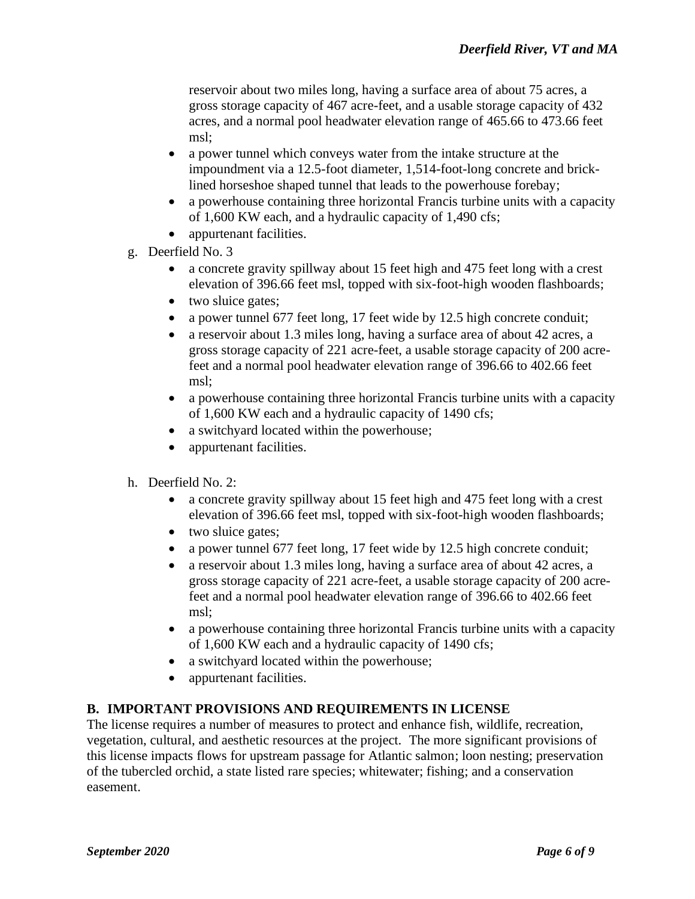reservoir about two miles long, having a surface area of about 75 acres, a gross storage capacity of 467 acre-feet, and a usable storage capacity of 432 acres, and a normal pool headwater elevation range of 465.66 to 473.66 feet msl;

- a power tunnel which conveys water from the intake structure at the impoundment via a 12.5-foot diameter, 1,514-foot-long concrete and bricklined horseshoe shaped tunnel that leads to the powerhouse forebay;
- a powerhouse containing three horizontal Francis turbine units with a capacity of 1,600 KW each, and a hydraulic capacity of 1,490 cfs;
- appurtenant facilities.
- g. Deerfield No. 3
	- a concrete gravity spillway about 15 feet high and 475 feet long with a crest elevation of 396.66 feet msl, topped with six-foot-high wooden flashboards;
	- two sluice gates;
	- a power tunnel 677 feet long, 17 feet wide by 12.5 high concrete conduit;
	- a reservoir about 1.3 miles long, having a surface area of about 42 acres, a gross storage capacity of 221 acre-feet, a usable storage capacity of 200 acrefeet and a normal pool headwater elevation range of 396.66 to 402.66 feet msl;
	- a powerhouse containing three horizontal Francis turbine units with a capacity of 1,600 KW each and a hydraulic capacity of 1490 cfs;
	- a switchyard located within the powerhouse;
	- appurtenant facilities.
- h. Deerfield No. 2:
	- a concrete gravity spillway about 15 feet high and 475 feet long with a crest elevation of 396.66 feet msl, topped with six-foot-high wooden flashboards;
	- two sluice gates;
	- a power tunnel 677 feet long, 17 feet wide by 12.5 high concrete conduit;
	- a reservoir about 1.3 miles long, having a surface area of about 42 acres, a gross storage capacity of 221 acre-feet, a usable storage capacity of 200 acrefeet and a normal pool headwater elevation range of 396.66 to 402.66 feet msl;
	- a powerhouse containing three horizontal Francis turbine units with a capacity of 1,600 KW each and a hydraulic capacity of 1490 cfs;
	- a switchyard located within the powerhouse;
	- appurtenant facilities.

#### **B. IMPORTANT PROVISIONS AND REQUIREMENTS IN LICENSE**

The license requires a number of measures to protect and enhance fish, wildlife, recreation, vegetation, cultural, and aesthetic resources at the project. The more significant provisions of this license impacts flows for upstream passage for Atlantic salmon; loon nesting; preservation of the tubercled orchid, a state listed rare species; whitewater; fishing; and a conservation easement.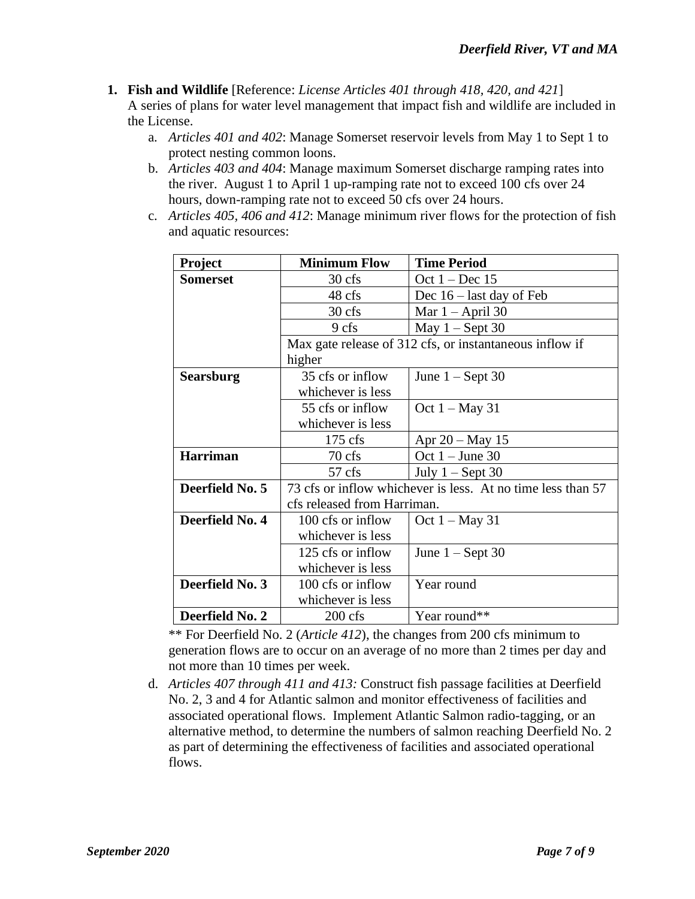**1. Fish and Wildlife** [Reference: *License Articles 401 through 418, 420, and 421*] A series of plans for water level management that impact fish and wildlife are included in the License.

- a. *Articles 401 and 402*: Manage Somerset reservoir levels from May 1 to Sept 1 to protect nesting common loons.
- b. *Articles 403 and 404*: Manage maximum Somerset discharge ramping rates into the river. August 1 to April 1 up-ramping rate not to exceed 100 cfs over 24 hours, down-ramping rate not to exceed 50 cfs over 24 hours.
- c. *Articles 405, 406 and 412*: Manage minimum river flows for the protection of fish and aquatic resources:

| <b>Project</b>   | <b>Minimum Flow</b>                                         | <b>Time Period</b>         |  |
|------------------|-------------------------------------------------------------|----------------------------|--|
| <b>Somerset</b>  | 30 cfs                                                      | Oct $1 - Dec 15$           |  |
|                  | 48 cfs                                                      | Dec $16$ – last day of Feb |  |
|                  | 30 cfs                                                      | Mar $1 -$ April 30         |  |
|                  | 9 cfs                                                       | May $1 -$ Sept 30          |  |
|                  | Max gate release of 312 cfs, or instantaneous inflow if     |                            |  |
|                  | higher                                                      |                            |  |
| <b>Searsburg</b> | 35 cfs or inflow                                            | June $1 -$ Sept 30         |  |
|                  | whichever is less                                           |                            |  |
|                  | 55 cfs or inflow                                            | Oct $1 - May 31$           |  |
|                  | whichever is less                                           |                            |  |
|                  | $175 \text{ cfs}$                                           | Apr $20 - May 15$          |  |
| <b>Harriman</b>  | 70 cfs                                                      | Oct $1 -$ June 30          |  |
|                  | $57$ cfs                                                    | July $1 -$ Sept 30         |  |
| Deerfield No. 5  | 73 cfs or inflow whichever is less. At no time less than 57 |                            |  |
|                  | cfs released from Harriman.                                 |                            |  |
| Deerfield No. 4  | 100 cfs or inflow                                           | Oct $1 - May 31$           |  |
|                  | whichever is less                                           |                            |  |
|                  | 125 cfs or inflow                                           | June $1 -$ Sept 30         |  |
|                  | whichever is less                                           |                            |  |
| Deerfield No. 3  | 100 cfs or inflow                                           | Year round                 |  |
|                  | whichever is less                                           |                            |  |
| Deerfield No. 2  | $200$ cfs                                                   | Year round**               |  |

\*\* For Deerfield No. 2 (*Article 412*), the changes from 200 cfs minimum to generation flows are to occur on an average of no more than 2 times per day and not more than 10 times per week.

d. *Articles 407 through 411 and 413:* Construct fish passage facilities at Deerfield No. 2, 3 and 4 for Atlantic salmon and monitor effectiveness of facilities and associated operational flows. Implement Atlantic Salmon radio-tagging, or an alternative method, to determine the numbers of salmon reaching Deerfield No. 2 as part of determining the effectiveness of facilities and associated operational flows.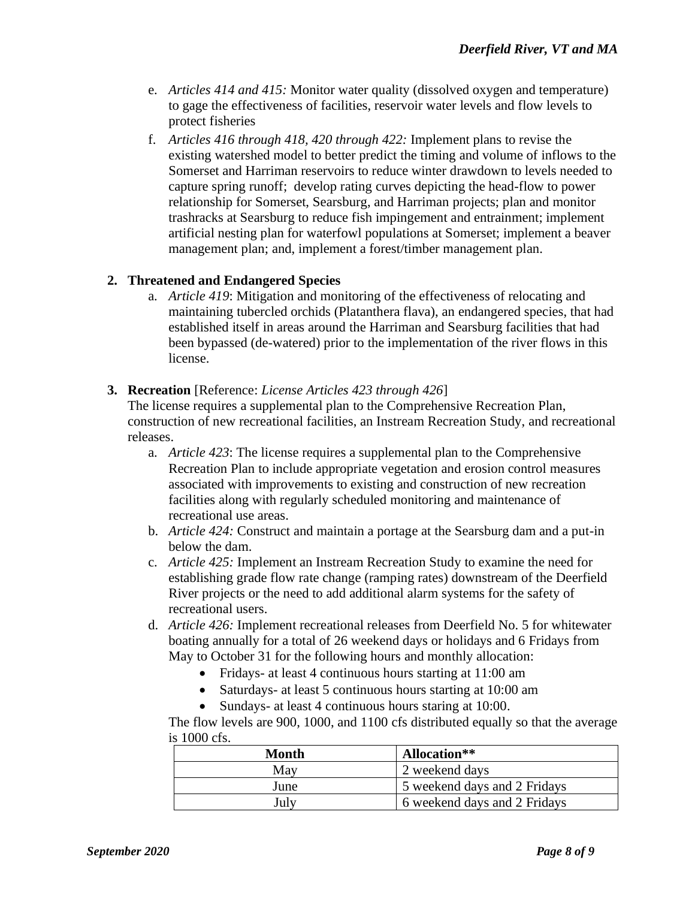- e. *Articles 414 and 415:* Monitor water quality (dissolved oxygen and temperature) to gage the effectiveness of facilities, reservoir water levels and flow levels to protect fisheries
- f. *Articles 416 through 418, 420 through 422:* Implement plans to revise the existing watershed model to better predict the timing and volume of inflows to the Somerset and Harriman reservoirs to reduce winter drawdown to levels needed to capture spring runoff; develop rating curves depicting the head-flow to power relationship for Somerset, Searsburg, and Harriman projects; plan and monitor trashracks at Searsburg to reduce fish impingement and entrainment; implement artificial nesting plan for waterfowl populations at Somerset; implement a beaver management plan; and, implement a forest/timber management plan.

#### **2. Threatened and Endangered Species**

a. *Article 419*: Mitigation and monitoring of the effectiveness of relocating and maintaining tubercled orchids (Platanthera flava), an endangered species, that had established itself in areas around the Harriman and Searsburg facilities that had been bypassed (de-watered) prior to the implementation of the river flows in this license.

#### **3. Recreation** [Reference: *License Articles 423 through 426*]

The license requires a supplemental plan to the Comprehensive Recreation Plan, construction of new recreational facilities, an Instream Recreation Study, and recreational releases.

- a. *Article 423*: The license requires a supplemental plan to the Comprehensive Recreation Plan to include appropriate vegetation and erosion control measures associated with improvements to existing and construction of new recreation facilities along with regularly scheduled monitoring and maintenance of recreational use areas.
- b. *Article 424:* Construct and maintain a portage at the Searsburg dam and a put-in below the dam.
- c. *Article 425:* Implement an Instream Recreation Study to examine the need for establishing grade flow rate change (ramping rates) downstream of the Deerfield River projects or the need to add additional alarm systems for the safety of recreational users.
- d. *Article 426:* Implement recreational releases from Deerfield No. 5 for whitewater boating annually for a total of 26 weekend days or holidays and 6 Fridays from May to October 31 for the following hours and monthly allocation:
	- Fridays- at least 4 continuous hours starting at 11:00 am
	- Saturdays- at least 5 continuous hours starting at 10:00 am
	- Sundays- at least 4 continuous hours staring at 10:00.

The flow levels are 900, 1000, and 1100 cfs distributed equally so that the average is 1000 cfs.

| Month | Allocation**                 |
|-------|------------------------------|
| May   | 2 weekend days               |
| June  | 5 weekend days and 2 Fridays |
| July  | 6 weekend days and 2 Fridays |